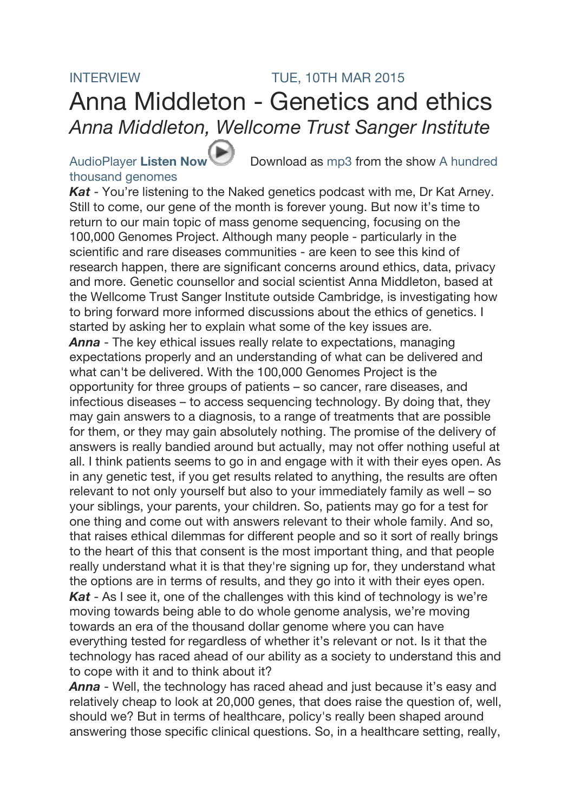## INTERVIEW TUE, 10TH MAR 2015 Anna Middleton - Genetics and ethics *Anna Middleton, Wellcome Trust Sanger Institute*

## thousand genomes

AudioPlayer Listen Now Download as mp3 from the show A hundred

*Kat* - You're listening to the Naked genetics podcast with me, Dr Kat Arney. Still to come, our gene of the month is forever young. But now it's time to return to our main topic of mass genome sequencing, focusing on the 100,000 Genomes Project. Although many people - particularly in the scientific and rare diseases communities - are keen to see this kind of research happen, there are significant concerns around ethics, data, privacy and more. Genetic counsellor and social scientist Anna Middleton, based at the Wellcome Trust Sanger Institute outside Cambridge, is investigating how to bring forward more informed discussions about the ethics of genetics. I started by asking her to explain what some of the key issues are. *Anna* - The key ethical issues really relate to expectations, managing expectations properly and an understanding of what can be delivered and what can't be delivered. With the 100,000 Genomes Project is the opportunity for three groups of patients – so cancer, rare diseases, and infectious diseases – to access sequencing technology. By doing that, they may gain answers to a diagnosis, to a range of treatments that are possible for them, or they may gain absolutely nothing. The promise of the delivery of answers is really bandied around but actually, may not offer nothing useful at all. I think patients seems to go in and engage with it with their eyes open. As in any genetic test, if you get results related to anything, the results are often relevant to not only yourself but also to your immediately family as well – so your siblings, your parents, your children. So, patients may go for a test for one thing and come out with answers relevant to their whole family. And so, that raises ethical dilemmas for different people and so it sort of really brings to the heart of this that consent is the most important thing, and that people really understand what it is that they're signing up for, they understand what the options are in terms of results, and they go into it with their eyes open. *Kat* - As I see it, one of the challenges with this kind of technology is we're moving towards being able to do whole genome analysis, we're moving towards an era of the thousand dollar genome where you can have everything tested for regardless of whether it's relevant or not. Is it that the technology has raced ahead of our ability as a society to understand this and to cope with it and to think about it?

*Anna* - Well, the technology has raced ahead and just because it's easy and relatively cheap to look at 20,000 genes, that does raise the question of, well, should we? But in terms of healthcare, policy's really been shaped around answering those specific clinical questions. So, in a healthcare setting, really,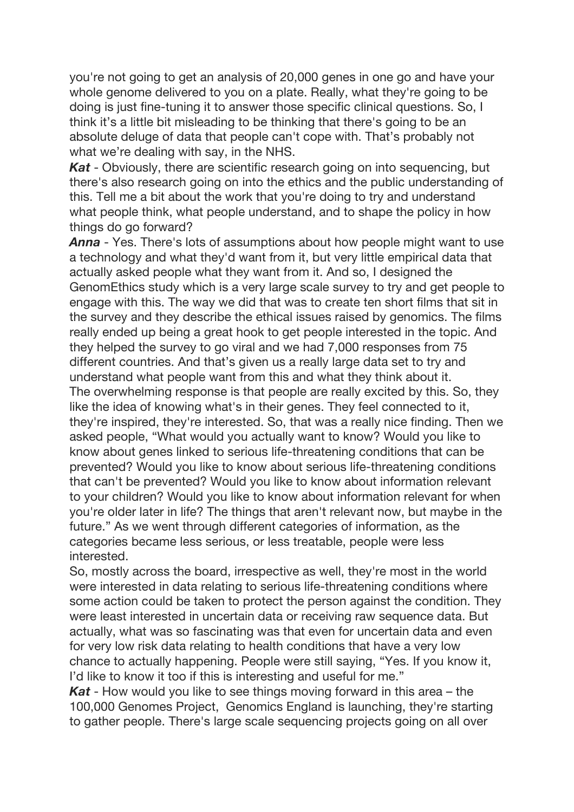you're not going to get an analysis of 20,000 genes in one go and have your whole genome delivered to you on a plate. Really, what they're going to be doing is just fine-tuning it to answer those specific clinical questions. So, I think it's a little bit misleading to be thinking that there's going to be an absolute deluge of data that people can't cope with. That's probably not what we're dealing with say, in the NHS.

*Kat* - Obviously, there are scientific research going on into sequencing, but there's also research going on into the ethics and the public understanding of this. Tell me a bit about the work that you're doing to try and understand what people think, what people understand, and to shape the policy in how things do go forward?

*Anna* - Yes. There's lots of assumptions about how people might want to use a technology and what they'd want from it, but very little empirical data that actually asked people what they want from it. And so, I designed the GenomEthics study which is a very large scale survey to try and get people to engage with this. The way we did that was to create ten short films that sit in the survey and they describe the ethical issues raised by genomics. The films really ended up being a great hook to get people interested in the topic. And they helped the survey to go viral and we had 7,000 responses from 75 different countries. And that's given us a really large data set to try and understand what people want from this and what they think about it. The overwhelming response is that people are really excited by this. So, they like the idea of knowing what's in their genes. They feel connected to it, they're inspired, they're interested. So, that was a really nice finding. Then we asked people, "What would you actually want to know? Would you like to know about genes linked to serious life-threatening conditions that can be prevented? Would you like to know about serious life-threatening conditions that can't be prevented? Would you like to know about information relevant to your children? Would you like to know about information relevant for when you're older later in life? The things that aren't relevant now, but maybe in the future." As we went through different categories of information, as the categories became less serious, or less treatable, people were less interested.

So, mostly across the board, irrespective as well, they're most in the world were interested in data relating to serious life-threatening conditions where some action could be taken to protect the person against the condition. They were least interested in uncertain data or receiving raw sequence data. But actually, what was so fascinating was that even for uncertain data and even for very low risk data relating to health conditions that have a very low chance to actually happening. People were still saying, "Yes. If you know it, I'd like to know it too if this is interesting and useful for me."

*Kat* - How would you like to see things moving forward in this area – the 100,000 Genomes Project, Genomics England is launching, they're starting to gather people. There's large scale sequencing projects going on all over